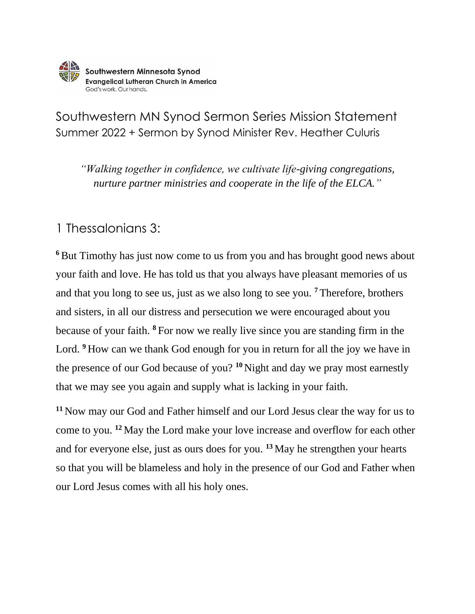

Southwestern MN Synod Sermon Series Mission Statement Summer 2022 + Sermon by Synod Minister Rev. Heather Culuris

*"Walking together in confidence, we cultivate life-giving congregations, nurture partner ministries and cooperate in the life of the ELCA."*

## 1 Thessalonians 3:

<sup>6</sup>But Timothy has just now come to us from you and has brought good news about your faith and love. He has told us that you always have pleasant memories of us and that you long to see us, just as we also long to see you. **<sup>7</sup>** Therefore, brothers and sisters, in all our distress and persecution we were encouraged about you because of your faith. **<sup>8</sup>** For now we really live since you are standing firm in the Lord. **<sup>9</sup>** How can we thank God enough for you in return for all the joy we have in the presence of our God because of you? **<sup>10</sup>** Night and day we pray most earnestly that we may see you again and supply what is lacking in your faith.

**<sup>11</sup>** Now may our God and Father himself and our Lord Jesus clear the way for us to come to you. **<sup>12</sup>** May the Lord make your love increase and overflow for each other and for everyone else, just as ours does for you. **<sup>13</sup>** May he strengthen your hearts so that you will be blameless and holy in the presence of our God and Father when our Lord Jesus comes with all his holy ones.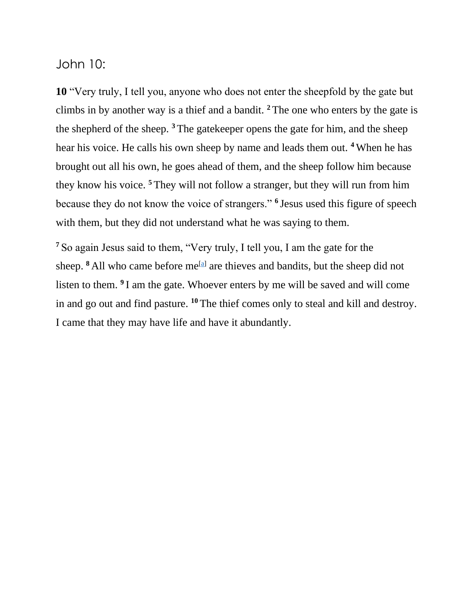John 10:

**10** "Very truly, I tell you, anyone who does not enter the sheepfold by the gate but climbs in by another way is a thief and a bandit. **<sup>2</sup>** The one who enters by the gate is the shepherd of the sheep. **<sup>3</sup>** The gatekeeper opens the gate for him, and the sheep hear his voice. He calls his own sheep by name and leads them out. **<sup>4</sup>** When he has brought out all his own, he goes ahead of them, and the sheep follow him because they know his voice. **<sup>5</sup>** They will not follow a stranger, but they will run from him because they do not know the voice of strangers." **<sup>6</sup>** Jesus used this figure of speech with them, but they did not understand what he was saying to them.

**<sup>7</sup>** So again Jesus said to them, "Very truly, I tell you, I am the gate for the sheep.  $8$  All who came before me<sup>[\[a\]](https://www.biblegateway.com/passage/?search=John%2010&version=NRSVUE#fen-NRSVUE-26479a)</sup> are thieves and bandits, but the sheep did not listen to them. **<sup>9</sup>** I am the gate. Whoever enters by me will be saved and will come in and go out and find pasture. **<sup>10</sup>** The thief comes only to steal and kill and destroy. I came that they may have life and have it abundantly.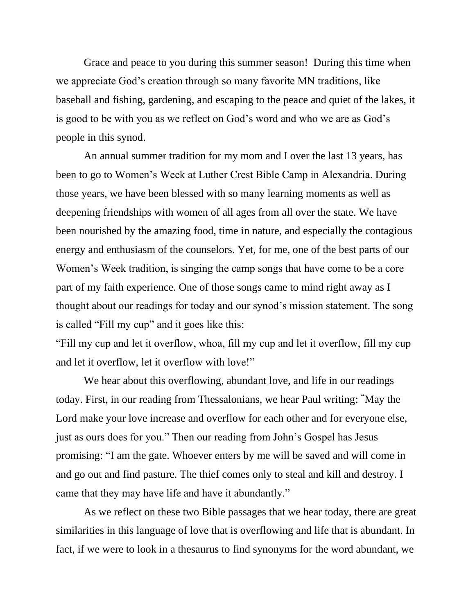Grace and peace to you during this summer season! During this time when we appreciate God's creation through so many favorite MN traditions, like baseball and fishing, gardening, and escaping to the peace and quiet of the lakes, it is good to be with you as we reflect on God's word and who we are as God's people in this synod.

An annual summer tradition for my mom and I over the last 13 years, has been to go to Women's Week at Luther Crest Bible Camp in Alexandria. During those years, we have been blessed with so many learning moments as well as deepening friendships with women of all ages from all over the state. We have been nourished by the amazing food, time in nature, and especially the contagious energy and enthusiasm of the counselors. Yet, for me, one of the best parts of our Women's Week tradition, is singing the camp songs that have come to be a core part of my faith experience. One of those songs came to mind right away as I thought about our readings for today and our synod's mission statement. The song is called "Fill my cup" and it goes like this:

"Fill my cup and let it overflow, whoa, fill my cup and let it overflow, fill my cup and let it overflow, let it overflow with love!"

We hear about this overflowing, abundant love, and life in our readings today. First, in our reading from Thessalonians, we hear Paul writing: **"**May the Lord make your love increase and overflow for each other and for everyone else, just as ours does for you." Then our reading from John's Gospel has Jesus promising: "I am the gate. Whoever enters by me will be saved and will come in and go out and find pasture. The thief comes only to steal and kill and destroy. I came that they may have life and have it abundantly."

As we reflect on these two Bible passages that we hear today, there are great similarities in this language of love that is overflowing and life that is abundant. In fact, if we were to look in a thesaurus to find synonyms for the word abundant, we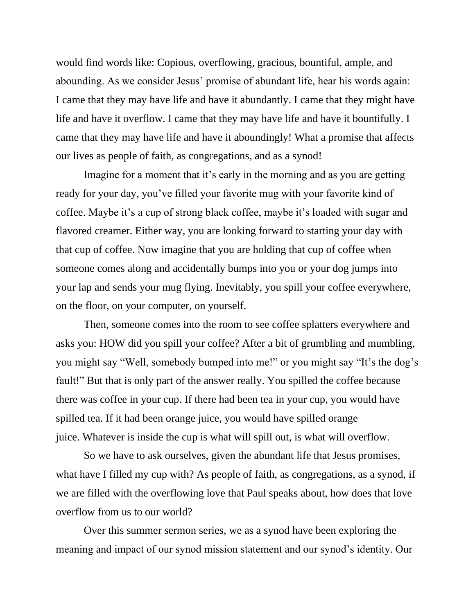would find words like: Copious, overflowing, gracious, bountiful, ample, and abounding. As we consider Jesus' promise of abundant life, hear his words again: I came that they may have life and have it abundantly. I came that they might have life and have it overflow. I came that they may have life and have it bountifully. I came that they may have life and have it aboundingly! What a promise that affects our lives as people of faith, as congregations, and as a synod!

Imagine for a moment that it's early in the morning and as you are getting ready for your day, you've filled your favorite mug with your favorite kind of coffee. Maybe it's a cup of strong black coffee, maybe it's loaded with sugar and flavored creamer. Either way, you are looking forward to starting your day with that cup of coffee. Now imagine that you are holding that cup of coffee when someone comes along and accidentally bumps into you or your dog jumps into your lap and sends your mug flying. Inevitably, you spill your coffee everywhere, on the floor, on your computer, on yourself.

Then, someone comes into the room to see coffee splatters everywhere and asks you: HOW did you spill your coffee? After a bit of grumbling and mumbling, you might say "Well, somebody bumped into me!" or you might say "It's the dog's fault!" But that is only part of the answer really. You spilled the coffee because there was coffee in your cup. If there had been tea in your cup, you would have spilled tea. If it had been orange juice, you would have spilled orange juice. Whatever is inside the cup is what will spill out, is what will overflow.

So we have to ask ourselves, given the abundant life that Jesus promises, what have I filled my cup with? As people of faith, as congregations, as a synod, if we are filled with the overflowing love that Paul speaks about, how does that love overflow from us to our world?

Over this summer sermon series, we as a synod have been exploring the meaning and impact of our synod mission statement and our synod's identity. Our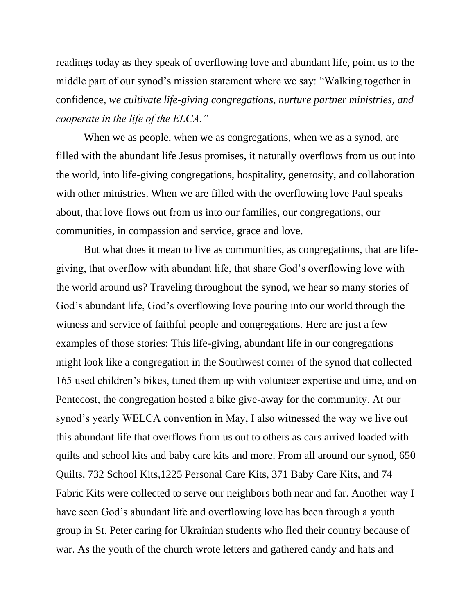readings today as they speak of overflowing love and abundant life, point us to the middle part of our synod's mission statement where we say: "Walking together in confidence, *we cultivate life-giving congregations, nurture partner ministries, and cooperate in the life of the ELCA."*

When we as people, when we as congregations, when we as a synod, are filled with the abundant life Jesus promises, it naturally overflows from us out into the world, into life-giving congregations, hospitality, generosity, and collaboration with other ministries. When we are filled with the overflowing love Paul speaks about, that love flows out from us into our families, our congregations, our communities, in compassion and service, grace and love.

But what does it mean to live as communities, as congregations, that are lifegiving, that overflow with abundant life, that share God's overflowing love with the world around us? Traveling throughout the synod, we hear so many stories of God's abundant life, God's overflowing love pouring into our world through the witness and service of faithful people and congregations. Here are just a few examples of those stories: This life-giving, abundant life in our congregations might look like a congregation in the Southwest corner of the synod that collected 165 used children's bikes, tuned them up with volunteer expertise and time, and on Pentecost, the congregation hosted a bike give-away for the community. At our synod's yearly WELCA convention in May, I also witnessed the way we live out this abundant life that overflows from us out to others as cars arrived loaded with quilts and school kits and baby care kits and more. From all around our synod, 650 Quilts, 732 School Kits,1225 Personal Care Kits, 371 Baby Care Kits, and 74 Fabric Kits were collected to serve our neighbors both near and far. Another way I have seen God's abundant life and overflowing love has been through a youth group in St. Peter caring for Ukrainian students who fled their country because of war. As the youth of the church wrote letters and gathered candy and hats and